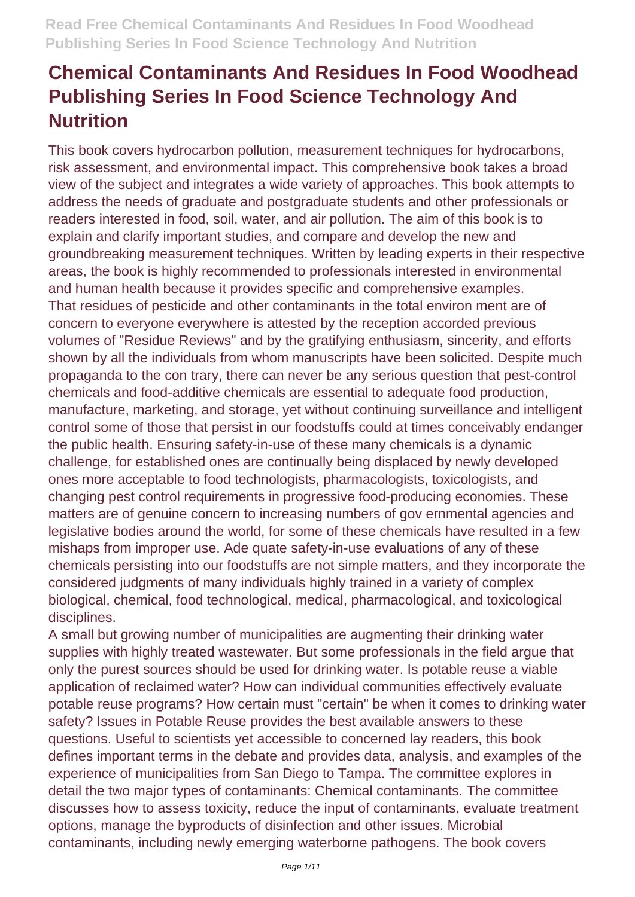This book covers hydrocarbon pollution, measurement techniques for hydrocarbons, risk assessment, and environmental impact. This comprehensive book takes a broad view of the subject and integrates a wide variety of approaches. This book attempts to address the needs of graduate and postgraduate students and other professionals or readers interested in food, soil, water, and air pollution. The aim of this book is to explain and clarify important studies, and compare and develop the new and groundbreaking measurement techniques. Written by leading experts in their respective areas, the book is highly recommended to professionals interested in environmental and human health because it provides specific and comprehensive examples. That residues of pesticide and other contaminants in the total environ ment are of concern to everyone everywhere is attested by the reception accorded previous volumes of "Residue Reviews" and by the gratifying enthusiasm, sincerity, and efforts shown by all the individuals from whom manuscripts have been solicited. Despite much propaganda to the con trary, there can never be any serious question that pest-control chemicals and food-additive chemicals are essential to adequate food production, manufacture, marketing, and storage, yet without continuing surveillance and intelligent control some of those that persist in our foodstuffs could at times conceivably endanger the public health. Ensuring safety-in-use of these many chemicals is a dynamic challenge, for established ones are continually being displaced by newly developed ones more acceptable to food technologists, pharmacologists, toxicologists, and changing pest control requirements in progressive food-producing economies. These matters are of genuine concern to increasing numbers of gov ernmental agencies and legislative bodies around the world, for some of these chemicals have resulted in a few mishaps from improper use. Ade quate safety-in-use evaluations of any of these chemicals persisting into our foodstuffs are not simple matters, and they incorporate the considered judgments of many individuals highly trained in a variety of complex biological, chemical, food technological, medical, pharmacological, and toxicological disciplines.

A small but growing number of municipalities are augmenting their drinking water supplies with highly treated wastewater. But some professionals in the field argue that only the purest sources should be used for drinking water. Is potable reuse a viable application of reclaimed water? How can individual communities effectively evaluate potable reuse programs? How certain must "certain" be when it comes to drinking water safety? Issues in Potable Reuse provides the best available answers to these questions. Useful to scientists yet accessible to concerned lay readers, this book defines important terms in the debate and provides data, analysis, and examples of the experience of municipalities from San Diego to Tampa. The committee explores in detail the two major types of contaminants: Chemical contaminants. The committee discusses how to assess toxicity, reduce the input of contaminants, evaluate treatment options, manage the byproducts of disinfection and other issues. Microbial contaminants, including newly emerging waterborne pathogens. The book covers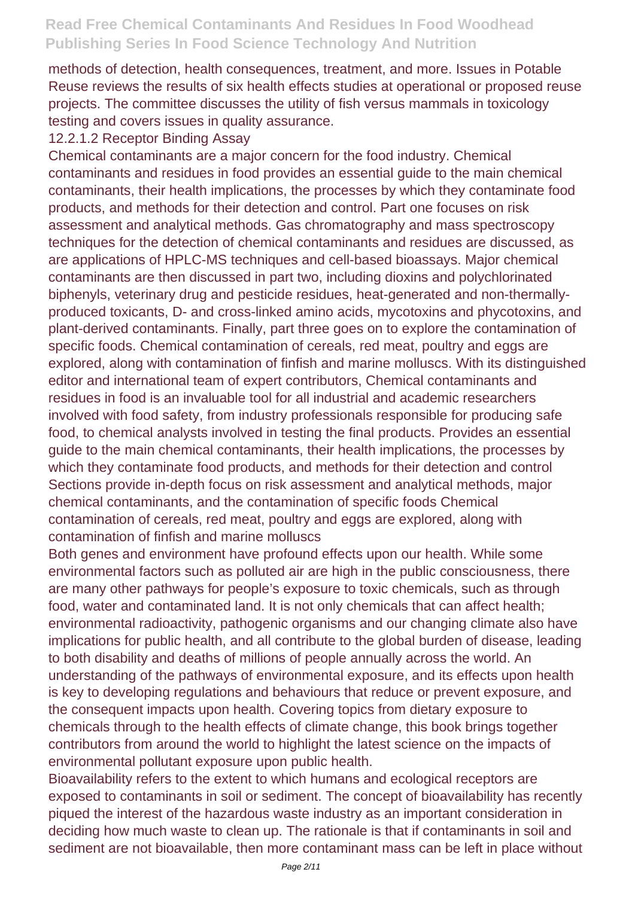methods of detection, health consequences, treatment, and more. Issues in Potable Reuse reviews the results of six health effects studies at operational or proposed reuse projects. The committee discusses the utility of fish versus mammals in toxicology testing and covers issues in quality assurance.

#### 12.2.1.2 Receptor Binding Assay

Chemical contaminants are a major concern for the food industry. Chemical contaminants and residues in food provides an essential guide to the main chemical contaminants, their health implications, the processes by which they contaminate food products, and methods for their detection and control. Part one focuses on risk assessment and analytical methods. Gas chromatography and mass spectroscopy techniques for the detection of chemical contaminants and residues are discussed, as are applications of HPLC-MS techniques and cell-based bioassays. Major chemical contaminants are then discussed in part two, including dioxins and polychlorinated biphenyls, veterinary drug and pesticide residues, heat-generated and non-thermallyproduced toxicants, D- and cross-linked amino acids, mycotoxins and phycotoxins, and plant-derived contaminants. Finally, part three goes on to explore the contamination of specific foods. Chemical contamination of cereals, red meat, poultry and eggs are explored, along with contamination of finfish and marine molluscs. With its distinguished editor and international team of expert contributors, Chemical contaminants and residues in food is an invaluable tool for all industrial and academic researchers involved with food safety, from industry professionals responsible for producing safe food, to chemical analysts involved in testing the final products. Provides an essential guide to the main chemical contaminants, their health implications, the processes by which they contaminate food products, and methods for their detection and control Sections provide in-depth focus on risk assessment and analytical methods, major chemical contaminants, and the contamination of specific foods Chemical contamination of cereals, red meat, poultry and eggs are explored, along with contamination of finfish and marine molluscs

Both genes and environment have profound effects upon our health. While some environmental factors such as polluted air are high in the public consciousness, there are many other pathways for people's exposure to toxic chemicals, such as through food, water and contaminated land. It is not only chemicals that can affect health; environmental radioactivity, pathogenic organisms and our changing climate also have implications for public health, and all contribute to the global burden of disease, leading to both disability and deaths of millions of people annually across the world. An understanding of the pathways of environmental exposure, and its effects upon health is key to developing regulations and behaviours that reduce or prevent exposure, and the consequent impacts upon health. Covering topics from dietary exposure to chemicals through to the health effects of climate change, this book brings together contributors from around the world to highlight the latest science on the impacts of environmental pollutant exposure upon public health.

Bioavailability refers to the extent to which humans and ecological receptors are exposed to contaminants in soil or sediment. The concept of bioavailability has recently piqued the interest of the hazardous waste industry as an important consideration in deciding how much waste to clean up. The rationale is that if contaminants in soil and sediment are not bioavailable, then more contaminant mass can be left in place without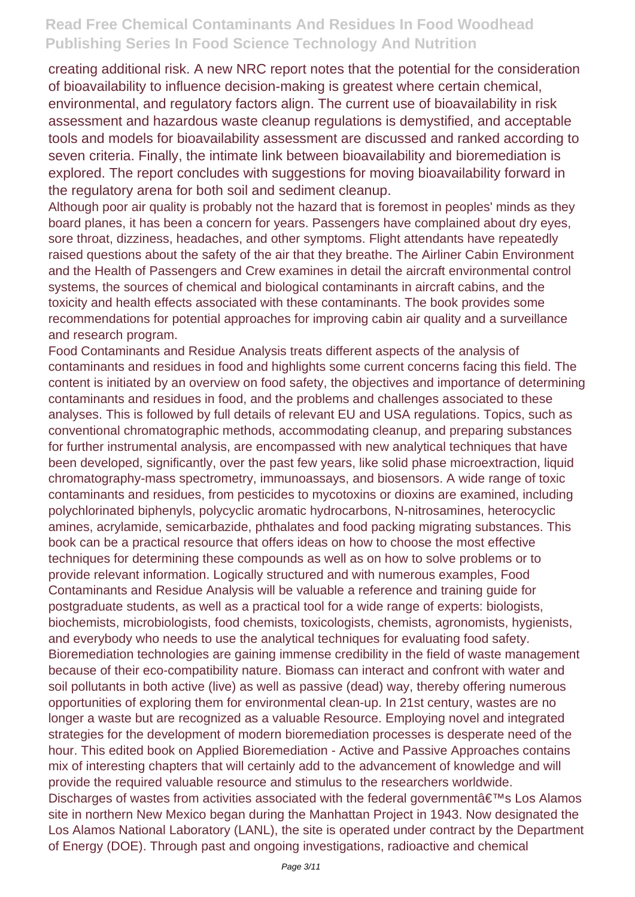creating additional risk. A new NRC report notes that the potential for the consideration of bioavailability to influence decision-making is greatest where certain chemical, environmental, and regulatory factors align. The current use of bioavailability in risk assessment and hazardous waste cleanup regulations is demystified, and acceptable tools and models for bioavailability assessment are discussed and ranked according to seven criteria. Finally, the intimate link between bioavailability and bioremediation is explored. The report concludes with suggestions for moving bioavailability forward in the regulatory arena for both soil and sediment cleanup.

Although poor air quality is probably not the hazard that is foremost in peoples' minds as they board planes, it has been a concern for years. Passengers have complained about dry eyes, sore throat, dizziness, headaches, and other symptoms. Flight attendants have repeatedly raised questions about the safety of the air that they breathe. The Airliner Cabin Environment and the Health of Passengers and Crew examines in detail the aircraft environmental control systems, the sources of chemical and biological contaminants in aircraft cabins, and the toxicity and health effects associated with these contaminants. The book provides some recommendations for potential approaches for improving cabin air quality and a surveillance and research program.

Food Contaminants and Residue Analysis treats different aspects of the analysis of contaminants and residues in food and highlights some current concerns facing this field. The content is initiated by an overview on food safety, the objectives and importance of determining contaminants and residues in food, and the problems and challenges associated to these analyses. This is followed by full details of relevant EU and USA regulations. Topics, such as conventional chromatographic methods, accommodating cleanup, and preparing substances for further instrumental analysis, are encompassed with new analytical techniques that have been developed, significantly, over the past few years, like solid phase microextraction, liquid chromatography-mass spectrometry, immunoassays, and biosensors. A wide range of toxic contaminants and residues, from pesticides to mycotoxins or dioxins are examined, including polychlorinated biphenyls, polycyclic aromatic hydrocarbons, N-nitrosamines, heterocyclic amines, acrylamide, semicarbazide, phthalates and food packing migrating substances. This book can be a practical resource that offers ideas on how to choose the most effective techniques for determining these compounds as well as on how to solve problems or to provide relevant information. Logically structured and with numerous examples, Food Contaminants and Residue Analysis will be valuable a reference and training guide for postgraduate students, as well as a practical tool for a wide range of experts: biologists, biochemists, microbiologists, food chemists, toxicologists, chemists, agronomists, hygienists, and everybody who needs to use the analytical techniques for evaluating food safety. Bioremediation technologies are gaining immense credibility in the field of waste management because of their eco-compatibility nature. Biomass can interact and confront with water and soil pollutants in both active (live) as well as passive (dead) way, thereby offering numerous opportunities of exploring them for environmental clean-up. In 21st century, wastes are no longer a waste but are recognized as a valuable Resource. Employing novel and integrated strategies for the development of modern bioremediation processes is desperate need of the hour. This edited book on Applied Bioremediation - Active and Passive Approaches contains mix of interesting chapters that will certainly add to the advancement of knowledge and will provide the required valuable resource and stimulus to the researchers worldwide. Discharges of wastes from activities associated with the federal government  $\hat{a} \in \mathbb{N}$ s Los Alamos site in northern New Mexico began during the Manhattan Project in 1943. Now designated the Los Alamos National Laboratory (LANL), the site is operated under contract by the Department of Energy (DOE). Through past and ongoing investigations, radioactive and chemical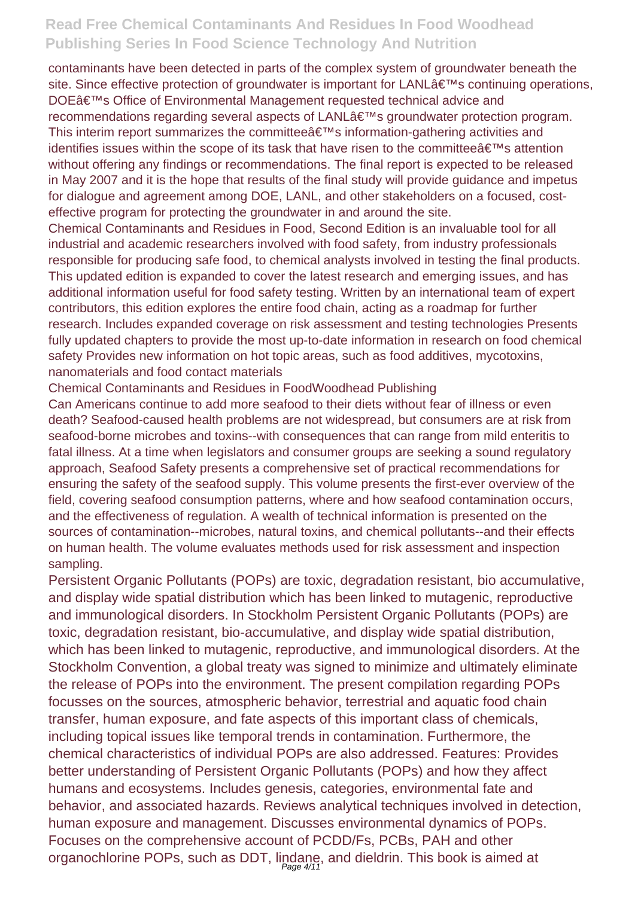contaminants have been detected in parts of the complex system of groundwater beneath the site. Since effective protection of groundwater is important for LANL $\hat{a} \in \text{TMs}$  continuing operations, DOE's Office of Environmental Management requested technical advice and recommendations regarding several aspects of LANL's groundwater protection program. This interim report summarizes the committee $\hat{a} \in \mathbb{R}^N$ s information-gathering activities and identifies issues within the scope of its task that have risen to the committee  $\hat{a} \in \mathbb{N}$ s attention without offering any findings or recommendations. The final report is expected to be released in May 2007 and it is the hope that results of the final study will provide guidance and impetus for dialogue and agreement among DOE, LANL, and other stakeholders on a focused, costeffective program for protecting the groundwater in and around the site.

Chemical Contaminants and Residues in Food, Second Edition is an invaluable tool for all industrial and academic researchers involved with food safety, from industry professionals responsible for producing safe food, to chemical analysts involved in testing the final products. This updated edition is expanded to cover the latest research and emerging issues, and has additional information useful for food safety testing. Written by an international team of expert contributors, this edition explores the entire food chain, acting as a roadmap for further research. Includes expanded coverage on risk assessment and testing technologies Presents fully updated chapters to provide the most up-to-date information in research on food chemical safety Provides new information on hot topic areas, such as food additives, mycotoxins, nanomaterials and food contact materials

Chemical Contaminants and Residues in FoodWoodhead Publishing

Can Americans continue to add more seafood to their diets without fear of illness or even death? Seafood-caused health problems are not widespread, but consumers are at risk from seafood-borne microbes and toxins--with consequences that can range from mild enteritis to fatal illness. At a time when legislators and consumer groups are seeking a sound regulatory approach, Seafood Safety presents a comprehensive set of practical recommendations for ensuring the safety of the seafood supply. This volume presents the first-ever overview of the field, covering seafood consumption patterns, where and how seafood contamination occurs, and the effectiveness of regulation. A wealth of technical information is presented on the sources of contamination--microbes, natural toxins, and chemical pollutants--and their effects on human health. The volume evaluates methods used for risk assessment and inspection sampling.

Persistent Organic Pollutants (POPs) are toxic, degradation resistant, bio accumulative, and display wide spatial distribution which has been linked to mutagenic, reproductive and immunological disorders. In Stockholm Persistent Organic Pollutants (POPs) are toxic, degradation resistant, bio-accumulative, and display wide spatial distribution, which has been linked to mutagenic, reproductive, and immunological disorders. At the Stockholm Convention, a global treaty was signed to minimize and ultimately eliminate the release of POPs into the environment. The present compilation regarding POPs focusses on the sources, atmospheric behavior, terrestrial and aquatic food chain transfer, human exposure, and fate aspects of this important class of chemicals, including topical issues like temporal trends in contamination. Furthermore, the chemical characteristics of individual POPs are also addressed. Features: Provides better understanding of Persistent Organic Pollutants (POPs) and how they affect humans and ecosystems. Includes genesis, categories, environmental fate and behavior, and associated hazards. Reviews analytical techniques involved in detection, human exposure and management. Discusses environmental dynamics of POPs. Focuses on the comprehensive account of PCDD/Fs, PCBs, PAH and other organochlorine POPs, such as DDT, lindane, and dieldrin. This book is aimed at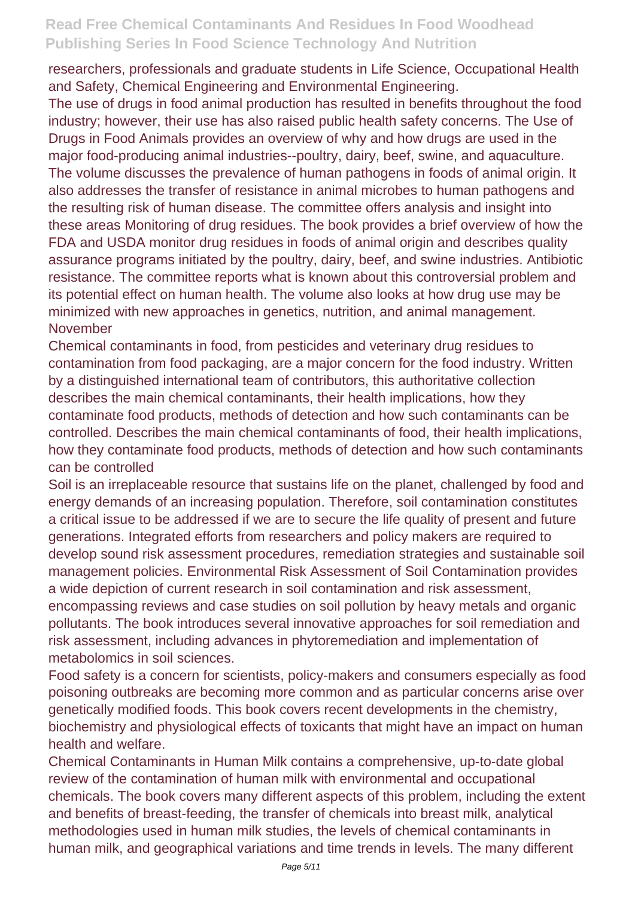researchers, professionals and graduate students in Life Science, Occupational Health and Safety, Chemical Engineering and Environmental Engineering.

The use of drugs in food animal production has resulted in benefits throughout the food industry; however, their use has also raised public health safety concerns. The Use of Drugs in Food Animals provides an overview of why and how drugs are used in the major food-producing animal industries--poultry, dairy, beef, swine, and aquaculture. The volume discusses the prevalence of human pathogens in foods of animal origin. It also addresses the transfer of resistance in animal microbes to human pathogens and the resulting risk of human disease. The committee offers analysis and insight into these areas Monitoring of drug residues. The book provides a brief overview of how the FDA and USDA monitor drug residues in foods of animal origin and describes quality assurance programs initiated by the poultry, dairy, beef, and swine industries. Antibiotic resistance. The committee reports what is known about this controversial problem and its potential effect on human health. The volume also looks at how drug use may be minimized with new approaches in genetics, nutrition, and animal management. November

Chemical contaminants in food, from pesticides and veterinary drug residues to contamination from food packaging, are a major concern for the food industry. Written by a distinguished international team of contributors, this authoritative collection describes the main chemical contaminants, their health implications, how they contaminate food products, methods of detection and how such contaminants can be controlled. Describes the main chemical contaminants of food, their health implications, how they contaminate food products, methods of detection and how such contaminants can be controlled

Soil is an irreplaceable resource that sustains life on the planet, challenged by food and energy demands of an increasing population. Therefore, soil contamination constitutes a critical issue to be addressed if we are to secure the life quality of present and future generations. Integrated efforts from researchers and policy makers are required to develop sound risk assessment procedures, remediation strategies and sustainable soil management policies. Environmental Risk Assessment of Soil Contamination provides a wide depiction of current research in soil contamination and risk assessment, encompassing reviews and case studies on soil pollution by heavy metals and organic pollutants. The book introduces several innovative approaches for soil remediation and risk assessment, including advances in phytoremediation and implementation of metabolomics in soil sciences.

Food safety is a concern for scientists, policy-makers and consumers especially as food poisoning outbreaks are becoming more common and as particular concerns arise over genetically modified foods. This book covers recent developments in the chemistry, biochemistry and physiological effects of toxicants that might have an impact on human health and welfare.

Chemical Contaminants in Human Milk contains a comprehensive, up-to-date global review of the contamination of human milk with environmental and occupational chemicals. The book covers many different aspects of this problem, including the extent and benefits of breast-feeding, the transfer of chemicals into breast milk, analytical methodologies used in human milk studies, the levels of chemical contaminants in human milk, and geographical variations and time trends in levels. The many different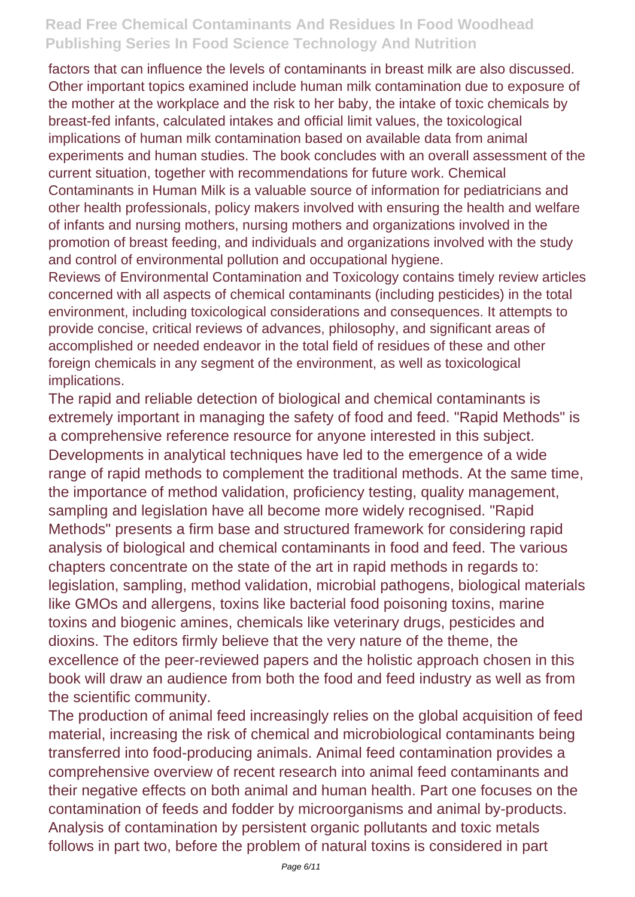factors that can influence the levels of contaminants in breast milk are also discussed. Other important topics examined include human milk contamination due to exposure of the mother at the workplace and the risk to her baby, the intake of toxic chemicals by breast-fed infants, calculated intakes and official limit values, the toxicological implications of human milk contamination based on available data from animal experiments and human studies. The book concludes with an overall assessment of the current situation, together with recommendations for future work. Chemical Contaminants in Human Milk is a valuable source of information for pediatricians and other health professionals, policy makers involved with ensuring the health and welfare of infants and nursing mothers, nursing mothers and organizations involved in the promotion of breast feeding, and individuals and organizations involved with the study and control of environmental pollution and occupational hygiene.

Reviews of Environmental Contamination and Toxicology contains timely review articles concerned with all aspects of chemical contaminants (including pesticides) in the total environment, including toxicological considerations and consequences. It attempts to provide concise, critical reviews of advances, philosophy, and significant areas of accomplished or needed endeavor in the total field of residues of these and other foreign chemicals in any segment of the environment, as well as toxicological implications.

The rapid and reliable detection of biological and chemical contaminants is extremely important in managing the safety of food and feed. "Rapid Methods" is a comprehensive reference resource for anyone interested in this subject. Developments in analytical techniques have led to the emergence of a wide range of rapid methods to complement the traditional methods. At the same time, the importance of method validation, proficiency testing, quality management, sampling and legislation have all become more widely recognised. "Rapid Methods" presents a firm base and structured framework for considering rapid analysis of biological and chemical contaminants in food and feed. The various chapters concentrate on the state of the art in rapid methods in regards to: legislation, sampling, method validation, microbial pathogens, biological materials like GMOs and allergens, toxins like bacterial food poisoning toxins, marine toxins and biogenic amines, chemicals like veterinary drugs, pesticides and dioxins. The editors firmly believe that the very nature of the theme, the excellence of the peer-reviewed papers and the holistic approach chosen in this book will draw an audience from both the food and feed industry as well as from the scientific community.

The production of animal feed increasingly relies on the global acquisition of feed material, increasing the risk of chemical and microbiological contaminants being transferred into food-producing animals. Animal feed contamination provides a comprehensive overview of recent research into animal feed contaminants and their negative effects on both animal and human health. Part one focuses on the contamination of feeds and fodder by microorganisms and animal by-products. Analysis of contamination by persistent organic pollutants and toxic metals follows in part two, before the problem of natural toxins is considered in part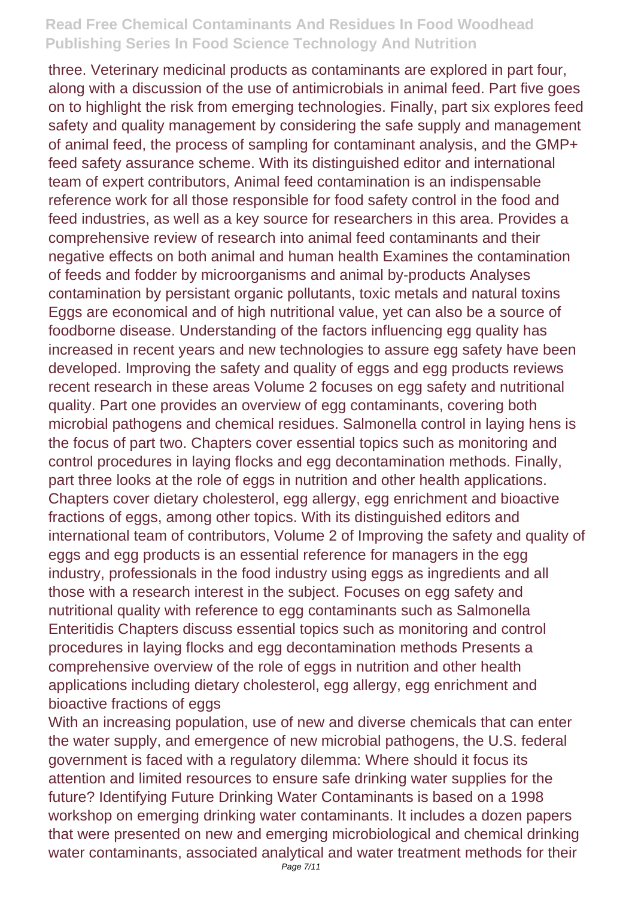three. Veterinary medicinal products as contaminants are explored in part four, along with a discussion of the use of antimicrobials in animal feed. Part five goes on to highlight the risk from emerging technologies. Finally, part six explores feed safety and quality management by considering the safe supply and management of animal feed, the process of sampling for contaminant analysis, and the GMP+ feed safety assurance scheme. With its distinguished editor and international team of expert contributors, Animal feed contamination is an indispensable reference work for all those responsible for food safety control in the food and feed industries, as well as a key source for researchers in this area. Provides a comprehensive review of research into animal feed contaminants and their negative effects on both animal and human health Examines the contamination of feeds and fodder by microorganisms and animal by-products Analyses contamination by persistant organic pollutants, toxic metals and natural toxins Eggs are economical and of high nutritional value, yet can also be a source of foodborne disease. Understanding of the factors influencing egg quality has increased in recent years and new technologies to assure egg safety have been developed. Improving the safety and quality of eggs and egg products reviews recent research in these areas Volume 2 focuses on egg safety and nutritional quality. Part one provides an overview of egg contaminants, covering both microbial pathogens and chemical residues. Salmonella control in laying hens is the focus of part two. Chapters cover essential topics such as monitoring and control procedures in laying flocks and egg decontamination methods. Finally, part three looks at the role of eggs in nutrition and other health applications. Chapters cover dietary cholesterol, egg allergy, egg enrichment and bioactive fractions of eggs, among other topics. With its distinguished editors and international team of contributors, Volume 2 of Improving the safety and quality of eggs and egg products is an essential reference for managers in the egg industry, professionals in the food industry using eggs as ingredients and all those with a research interest in the subject. Focuses on egg safety and nutritional quality with reference to egg contaminants such as Salmonella Enteritidis Chapters discuss essential topics such as monitoring and control procedures in laying flocks and egg decontamination methods Presents a comprehensive overview of the role of eggs in nutrition and other health applications including dietary cholesterol, egg allergy, egg enrichment and bioactive fractions of eggs

With an increasing population, use of new and diverse chemicals that can enter the water supply, and emergence of new microbial pathogens, the U.S. federal government is faced with a regulatory dilemma: Where should it focus its attention and limited resources to ensure safe drinking water supplies for the future? Identifying Future Drinking Water Contaminants is based on a 1998 workshop on emerging drinking water contaminants. It includes a dozen papers that were presented on new and emerging microbiological and chemical drinking water contaminants, associated analytical and water treatment methods for their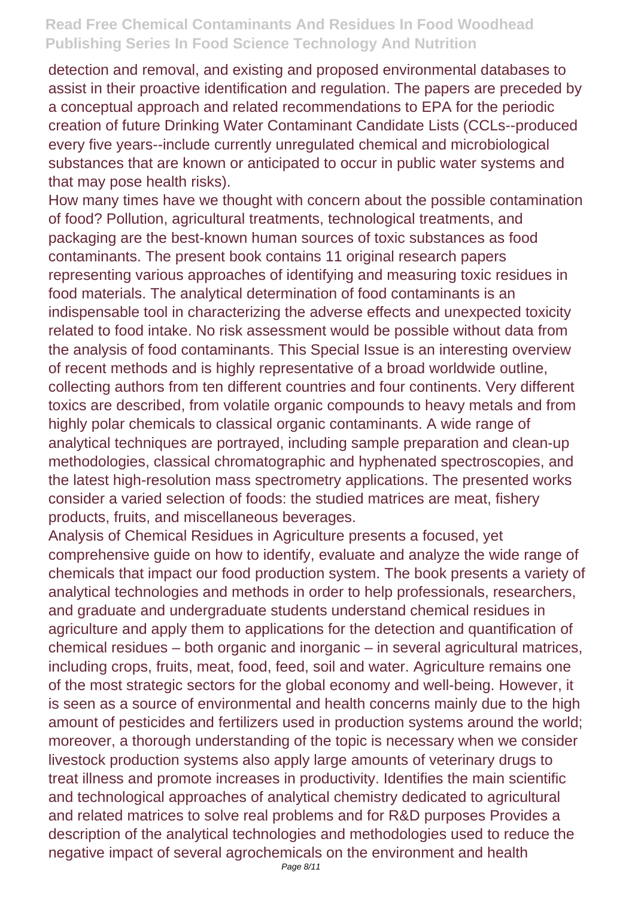detection and removal, and existing and proposed environmental databases to assist in their proactive identification and regulation. The papers are preceded by a conceptual approach and related recommendations to EPA for the periodic creation of future Drinking Water Contaminant Candidate Lists (CCLs--produced every five years--include currently unregulated chemical and microbiological substances that are known or anticipated to occur in public water systems and that may pose health risks).

How many times have we thought with concern about the possible contamination of food? Pollution, agricultural treatments, technological treatments, and packaging are the best-known human sources of toxic substances as food contaminants. The present book contains 11 original research papers representing various approaches of identifying and measuring toxic residues in food materials. The analytical determination of food contaminants is an indispensable tool in characterizing the adverse effects and unexpected toxicity related to food intake. No risk assessment would be possible without data from the analysis of food contaminants. This Special Issue is an interesting overview of recent methods and is highly representative of a broad worldwide outline, collecting authors from ten different countries and four continents. Very different toxics are described, from volatile organic compounds to heavy metals and from highly polar chemicals to classical organic contaminants. A wide range of analytical techniques are portrayed, including sample preparation and clean-up methodologies, classical chromatographic and hyphenated spectroscopies, and the latest high-resolution mass spectrometry applications. The presented works consider a varied selection of foods: the studied matrices are meat, fishery products, fruits, and miscellaneous beverages.

Analysis of Chemical Residues in Agriculture presents a focused, yet comprehensive guide on how to identify, evaluate and analyze the wide range of chemicals that impact our food production system. The book presents a variety of analytical technologies and methods in order to help professionals, researchers, and graduate and undergraduate students understand chemical residues in agriculture and apply them to applications for the detection and quantification of chemical residues – both organic and inorganic – in several agricultural matrices, including crops, fruits, meat, food, feed, soil and water. Agriculture remains one of the most strategic sectors for the global economy and well-being. However, it is seen as a source of environmental and health concerns mainly due to the high amount of pesticides and fertilizers used in production systems around the world; moreover, a thorough understanding of the topic is necessary when we consider livestock production systems also apply large amounts of veterinary drugs to treat illness and promote increases in productivity. Identifies the main scientific and technological approaches of analytical chemistry dedicated to agricultural and related matrices to solve real problems and for R&D purposes Provides a description of the analytical technologies and methodologies used to reduce the negative impact of several agrochemicals on the environment and health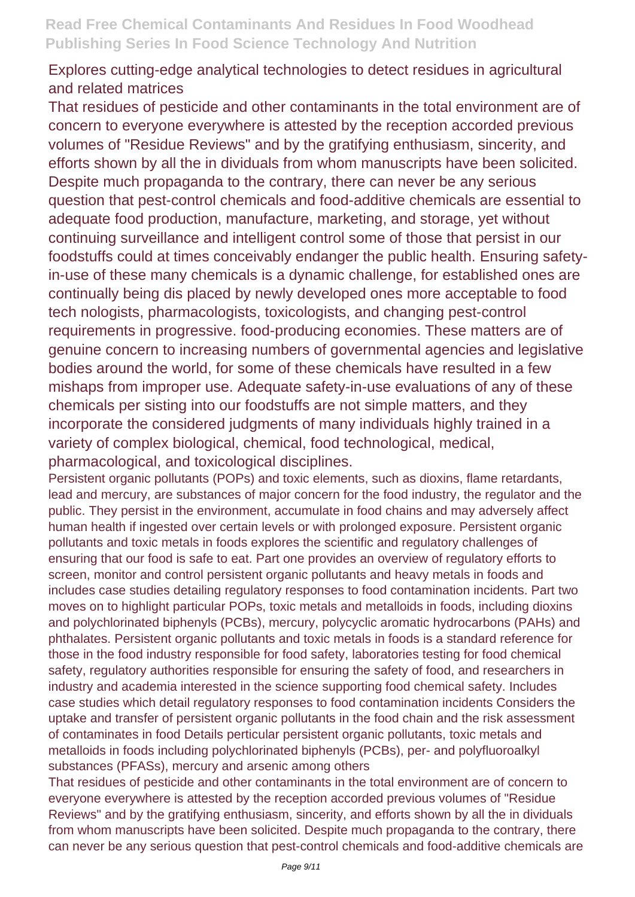### Explores cutting-edge analytical technologies to detect residues in agricultural and related matrices

That residues of pesticide and other contaminants in the total environment are of concern to everyone everywhere is attested by the reception accorded previous volumes of "Residue Reviews" and by the gratifying enthusiasm, sincerity, and efforts shown by all the in dividuals from whom manuscripts have been solicited. Despite much propaganda to the contrary, there can never be any serious question that pest-control chemicals and food-additive chemicals are essential to adequate food production, manufacture, marketing, and storage, yet without continuing surveillance and intelligent control some of those that persist in our foodstuffs could at times conceivably endanger the public health. Ensuring safetyin-use of these many chemicals is a dynamic challenge, for established ones are continually being dis placed by newly developed ones more acceptable to food tech nologists, pharmacologists, toxicologists, and changing pest-control requirements in progressive. food-producing economies. These matters are of genuine concern to increasing numbers of governmental agencies and legislative bodies around the world, for some of these chemicals have resulted in a few mishaps from improper use. Adequate safety-in-use evaluations of any of these chemicals per sisting into our foodstuffs are not simple matters, and they incorporate the considered judgments of many individuals highly trained in a variety of complex biological, chemical, food technological, medical, pharmacological, and toxicological disciplines.

Persistent organic pollutants (POPs) and toxic elements, such as dioxins, flame retardants, lead and mercury, are substances of major concern for the food industry, the regulator and the public. They persist in the environment, accumulate in food chains and may adversely affect human health if ingested over certain levels or with prolonged exposure. Persistent organic pollutants and toxic metals in foods explores the scientific and regulatory challenges of ensuring that our food is safe to eat. Part one provides an overview of regulatory efforts to screen, monitor and control persistent organic pollutants and heavy metals in foods and includes case studies detailing regulatory responses to food contamination incidents. Part two moves on to highlight particular POPs, toxic metals and metalloids in foods, including dioxins and polychlorinated biphenyls (PCBs), mercury, polycyclic aromatic hydrocarbons (PAHs) and phthalates. Persistent organic pollutants and toxic metals in foods is a standard reference for those in the food industry responsible for food safety, laboratories testing for food chemical safety, regulatory authorities responsible for ensuring the safety of food, and researchers in industry and academia interested in the science supporting food chemical safety. Includes case studies which detail regulatory responses to food contamination incidents Considers the uptake and transfer of persistent organic pollutants in the food chain and the risk assessment of contaminates in food Details perticular persistent organic pollutants, toxic metals and metalloids in foods including polychlorinated biphenyls (PCBs), per- and polyfluoroalkyl substances (PFASs), mercury and arsenic among others

That residues of pesticide and other contaminants in the total environment are of concern to everyone everywhere is attested by the reception accorded previous volumes of "Residue Reviews" and by the gratifying enthusiasm, sincerity, and efforts shown by all the in dividuals from whom manuscripts have been solicited. Despite much propaganda to the contrary, there can never be any serious question that pest-control chemicals and food-additive chemicals are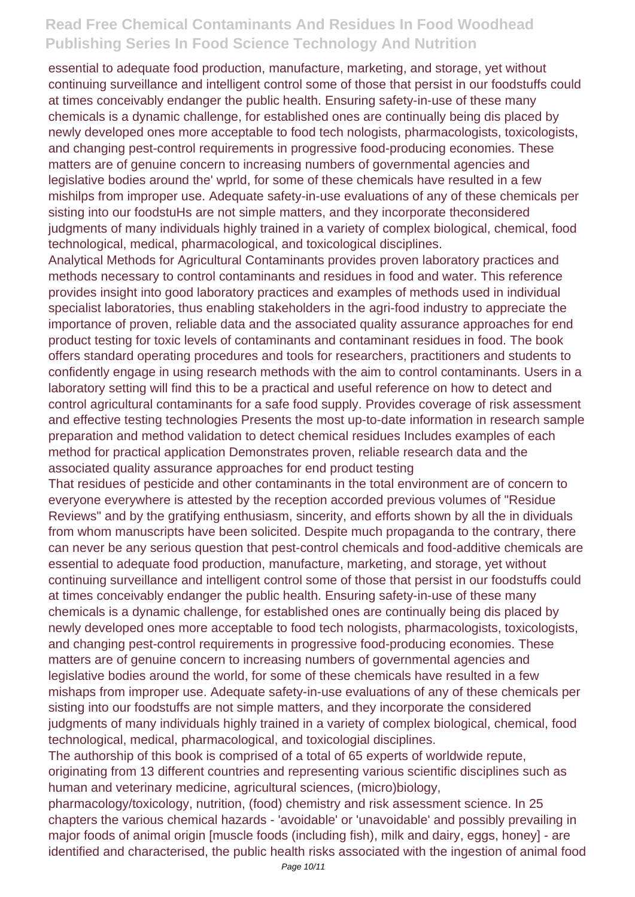essential to adequate food production, manufacture, marketing, and storage, yet without continuing surveillance and intelligent control some of those that persist in our foodstuffs could at times conceivably endanger the public health. Ensuring safety-in-use of these many chemicals is a dynamic challenge, for established ones are continually being dis placed by newly developed ones more acceptable to food tech nologists, pharmacologists, toxicologists, and changing pest-control requirements in progressive food-producing economies. These matters are of genuine concern to increasing numbers of governmental agencies and legislative bodies around the' wprld, for some of these chemicals have resulted in a few mishilps from improper use. Adequate safety-in-use evaluations of any of these chemicals per sisting into our foodstuHs are not simple matters, and they incorporate theconsidered judgments of many individuals highly trained in a variety of complex biological, chemical, food technological, medical, pharmacological, and toxicological disciplines.

Analytical Methods for Agricultural Contaminants provides proven laboratory practices and methods necessary to control contaminants and residues in food and water. This reference provides insight into good laboratory practices and examples of methods used in individual specialist laboratories, thus enabling stakeholders in the agri-food industry to appreciate the importance of proven, reliable data and the associated quality assurance approaches for end product testing for toxic levels of contaminants and contaminant residues in food. The book offers standard operating procedures and tools for researchers, practitioners and students to confidently engage in using research methods with the aim to control contaminants. Users in a laboratory setting will find this to be a practical and useful reference on how to detect and control agricultural contaminants for a safe food supply. Provides coverage of risk assessment and effective testing technologies Presents the most up-to-date information in research sample preparation and method validation to detect chemical residues Includes examples of each method for practical application Demonstrates proven, reliable research data and the associated quality assurance approaches for end product testing

That residues of pesticide and other contaminants in the total environment are of concern to everyone everywhere is attested by the reception accorded previous volumes of "Residue Reviews" and by the gratifying enthusiasm, sincerity, and efforts shown by all the in dividuals from whom manuscripts have been solicited. Despite much propaganda to the contrary, there can never be any serious question that pest-control chemicals and food-additive chemicals are essential to adequate food production, manufacture, marketing, and storage, yet without continuing surveillance and intelligent control some of those that persist in our foodstuffs could at times conceivably endanger the public health. Ensuring safety-in-use of these many chemicals is a dynamic challenge, for established ones are continually being dis placed by newly developed ones more acceptable to food tech nologists, pharmacologists, toxicologists, and changing pest-control requirements in progressive food-producing economies. These matters are of genuine concern to increasing numbers of governmental agencies and legislative bodies around the world, for some of these chemicals have resulted in a few mishaps from improper use. Adequate safety-in-use evaluations of any of these chemicals per sisting into our foodstuffs are not simple matters, and they incorporate the considered judgments of many individuals highly trained in a variety of complex biological, chemical, food technological, medical, pharmacological, and toxicologial disciplines.

The authorship of this book is comprised of a total of 65 experts of worldwide repute, originating from 13 different countries and representing various scientific disciplines such as human and veterinary medicine, agricultural sciences, (micro)biology,

pharmacology/toxicology, nutrition, (food) chemistry and risk assessment science. In 25 chapters the various chemical hazards - 'avoidable' or 'unavoidable' and possibly prevailing in major foods of animal origin [muscle foods (including fish), milk and dairy, eggs, honey] - are identified and characterised, the public health risks associated with the ingestion of animal food